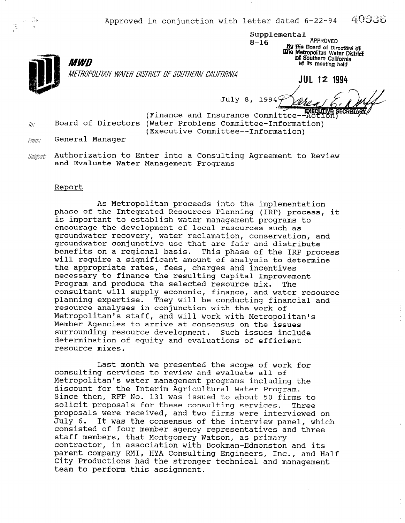Approved in conjunction with letter dated 6-22-94  $-40936$ 

Supplemental 8-16 APPROVED<br>By the Board of Directors of **Wile Metropolitan Water Distric DI Southern California** Bt its meeting held



METROPOLITAN WATER DISTRICT OF SOUTHERN CALIFORNIA

JUL 12 1994

July 8 1994

(Finance and Insurance Committee--Action)  $\bar{m}$  Board of Directors (Water Problems Committee-Information) (Executive Committee--Information)

From: General Manager

MWD

 $\mathit{Sublist}$  Authorization to Enter into a Consulting Agreement to Review and Evaluate Water Management Programs

## Report

As Metropolitan proceeds into the implementation phase of the Integrated Resources Planning (IRP) process, it is important to establish water management programs to encourage the development of local resources such as groundwater recovery, water reclamation, conservation, and groundwater conjunctive use that are fair and distribute benefits on a regional basis. This phase of the IRP process will require a significant amount of analysis to determine the appropriate rates, fees, charges and incentives necessary to finance the resulting Capital Improvement Program and produce the selected resource mix. The consultant will supply economic, finance, and water resource planning expertise. They will be conducting financial and resource analyses in conjunction with the work of Metropolitan's staff, and will work with Metropolitan's Member Agencies to arrive at consensus on the issues surrounding resource development. Such issues include determination of equity and evaluations of efficient resource mixes.

Last month we presented the scope of work for ast month we presented the scope of wor Consulting services to review and evaluate all of Metropolitan's water management programs including the<br>discount for the Interim Agricultural Water Program. arscount for the interim Agricultural water Program.<br>Since then, RFP No. 121 was issued to about 50 firms to since then, KIP NO. ISI WAS ISSUED to about 50 IIIMS to proposals for these consulting services. Three<br>proposals were received, and two firms were interviewed. proposals were received, and two firms were interviewed on<br>Inly 6. It was the consensus of the interview panel, which July 6. It was the consensus of the interview panel, which consisted of four member agency representatives and three staff members, that Montgomery Watson, as primary contractor, in association with Bookman-Edmonston and its parent company RMI, HYA Consulting Engineers, Inc., and Half City Productions had the stronger technical and management<br>team to perform this assignment.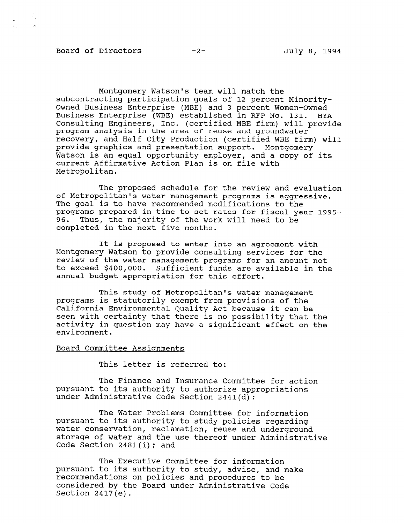## Board of Directors -2- July 8, 1994

 $\frac{1}{2\pi}$  ,  $\frac{1}{2}$  ,  $\frac{1}{2}$  ,  $\frac{1}{2}$ 

Montgomery Watson's team will match the subcontracting participation goals of 12 percent Minority-Owned Business Enterprise (MBE) and 3 percent Women-Owned Business Enterprise (WBE) established in RFP No. 131. HYA Consulting Engineers, Inc. (certified MBE firm) will provide program analysis in the area of reuse and groundwater recovery, and Half City Production (certified WBE firm) will provide graphics and presentation support. Montgomery Watson is an equal opportunity employer, and a copy of its current Affirmative Action Plan is on file with Metropolitan.

The proposed schedule for the review and evaluation of Metropolitan's water management programs is aggressive. The goal is to have recommended modifications to the programs prepared in time to set rates for fiscal year 1995- 96. Thus, the majority of the work will need to be completed in the next five months.

It is proposed to enter into an agreement with Montgomery Watson to provide consulting services for the review of the water management programs for an amount not to exceed \$400,000. Sufficient funds are available in the annual budget appropriation for this effort.

This study of Metropolitan's water management programs is statutorily exempt from provisions of the California Environmental Quality Act because it can be seen with certainty that there is no possibility that the activity in question may have a significant effect on the environment.

## Board Committee Assiqnments

This letter is referred to:

The Finance and Insurance Committee for action pursuant to its and insurance committee for pursuant to its authority to authorize a

The Water Problems Committee for information pursuant to its authority to its authority to study policies regarding to the study policies regarding to the study of the study of the study of the study of the study of the study of the study of the study of the study of pursuant to its authority to study policies regardin water conservation, reclamation, reuse and underground storage of water and the use thereof under Administrative<br>Code Section 2481(i); and

 $\mathbb{F}$   $\mathbb{F}$   $\mathbb{F}$  and information  $\mathbb{F}$ pursuant to the study of the study, and makes the study, and makes  $\alpha$ pursuant to its authority to study, advise, and make recommendations on policies and procedures to be considered by the Board under Administrative Code<br>Section 2417(e).